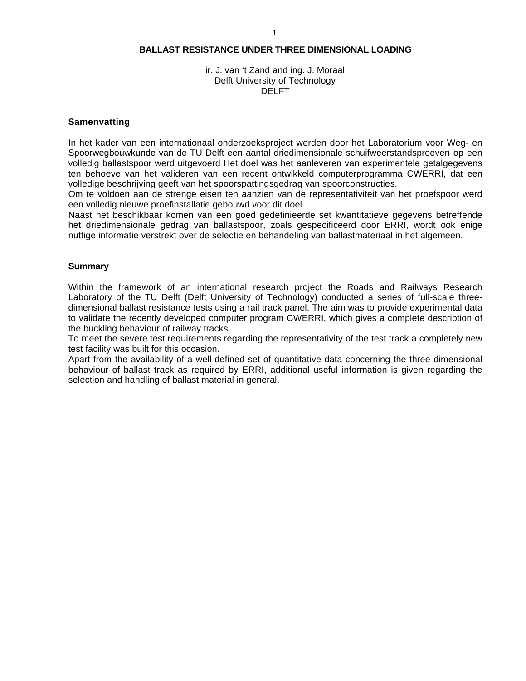#### **BALLAST RESISTANCE UNDER THREE DIMENSIONAL LOADING**

#### ir. J. van 't Zand and ing. J. Moraal Delft University of Technology DELFT

#### **Samenvatting**

In het kader van een internationaal onderzoeksproject werden door het Laboratorium voor Weg- en Spoorwegbouwkunde van de TU Delft een aantal driedimensionale schuifweerstandsproeven op een volledig ballastspoor werd uitgevoerd Het doel was het aanleveren van experimentele getalgegevens ten behoeve van het valideren van een recent ontwikkeld computerprogramma CWERRI, dat een volledige beschrijving geeft van het spoorspattingsgedrag van spoorconstructies.

Om te voldoen aan de strenge eisen ten aanzien van de representativiteit van het proefspoor werd een volledig nieuwe proefinstallatie gebouwd voor dit doel.

Naast het beschikbaar komen van een goed gedefinieerde set kwantitatieve gegevens betreffende het driedimensionale gedrag van ballastspoor, zoals gespecificeerd door ERRI, wordt ook enige nuttige informatie verstrekt over de selectie en behandeling van ballastmateriaal in het algemeen.

#### **Summary**

Within the framework of an international research project the Roads and Railways Research Laboratory of the TU Delft (Delft University of Technology) conducted a series of full-scale threedimensional ballast resistance tests using a rail track panel. The aim was to provide experimental data to validate the recently developed computer program CWERRI, which gives a complete description of the buckling behaviour of railway tracks.

To meet the severe test requirements regarding the representativity of the test track a completely new test facility was built for this occasion.

Apart from the availability of a well-defined set of quantitative data concerning the three dimensional behaviour of ballast track as required by ERRI, additional useful information is given regarding the selection and handling of ballast material in general.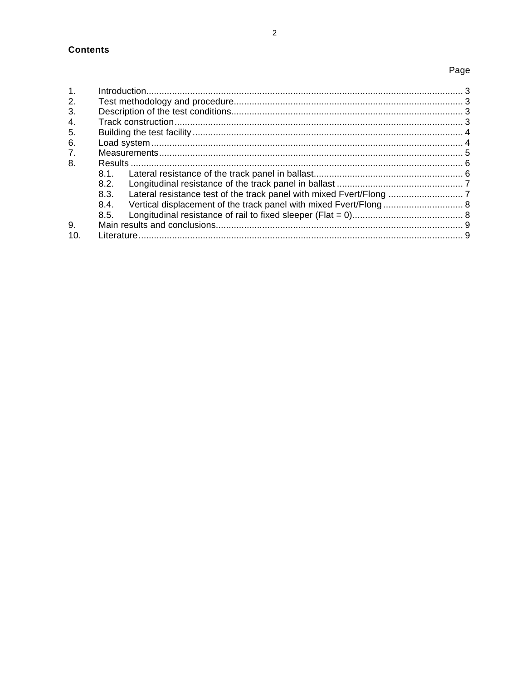# Page

| $\mathbf{1}$ . |      |  |
|----------------|------|--|
| 2.             |      |  |
| 3.             |      |  |
| 4.             |      |  |
| 5.             |      |  |
| 6.             |      |  |
| 7.             |      |  |
| 8.             |      |  |
|                | 8.1  |  |
|                | 8.2. |  |
|                | 8.3. |  |
|                | 8.4. |  |
|                | 8.5. |  |
| 9.             |      |  |
| 10.            |      |  |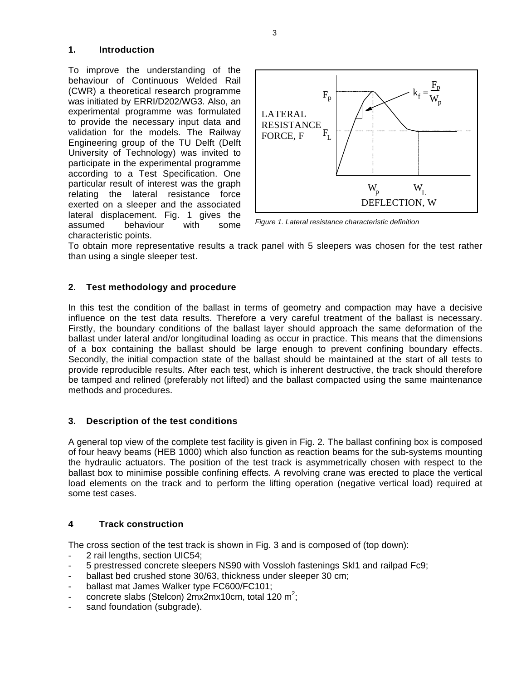# **1. Introduction**

To improve the understanding of the behaviour of Continuous Welded Rail (CWR) a theoretical research programme was initiated by ERRI/D202/WG3. Also, an experimental programme was formulated to provide the necessary input data and validation for the models. The Railway Engineering group of the TU Delft (Delft University of Technology) was invited to participate in the experimental programme according to a Test Specification. One particular result of interest was the graph relating the lateral resistance force exerted on a sleeper and the associated lateral displacement. Fig. 1 gives the assumed behaviour with some characteristic points.



*Figure 1. Lateral resistance characteristic definition*

To obtain more representative results a track panel with 5 sleepers was chosen for the test rather than using a single sleeper test.

# **2. Test methodology and procedure**

In this test the condition of the ballast in terms of geometry and compaction may have a decisive influence on the test data results. Therefore a very careful treatment of the ballast is necessary. Firstly, the boundary conditions of the ballast layer should approach the same deformation of the ballast under lateral and/or longitudinal loading as occur in practice. This means that the dimensions of a box containing the ballast should be large enough to prevent confining boundary effects. Secondly, the initial compaction state of the ballast should be maintained at the start of all tests to provide reproducible results. After each test, which is inherent destructive, the track should therefore be tamped and relined (preferably not lifted) and the ballast compacted using the same maintenance methods and procedures.

# **3. Description of the test conditions**

A general top view of the complete test facility is given in Fig. 2. The ballast confining box is composed of four heavy beams (HEB 1000) which also function as reaction beams for the sub-systems mounting the hydraulic actuators. The position of the test track is asymmetrically chosen with respect to the ballast box to minimise possible confining effects. A revolving crane was erected to place the vertical load elements on the track and to perform the lifting operation (negative vertical load) required at some test cases.

# **4 Track construction**

The cross section of the test track is shown in Fig. 3 and is composed of (top down):

- 2 rail lengths, section UIC54;
- 5 prestressed concrete sleepers NS90 with Vossloh fastenings Skl1 and railpad Fc9;
- ballast bed crushed stone 30/63, thickness under sleeper 30 cm;
- ballast mat James Walker type FC600/FC101;
- concrete slabs (Stelcon)  $2mx2mx10cm$ , total 120 m<sup>2</sup>;
- sand foundation (subgrade).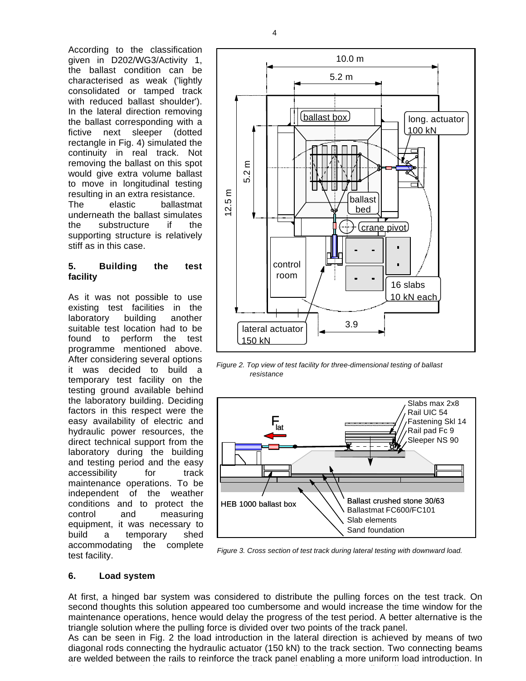According to the classification given in D202/WG3/Activity 1, the ballast condition can be characterised as weak ('lightly consolidated or tamped track with reduced ballast shoulder'). In the lateral direction removing the ballast corresponding with a fictive next sleeper (dotted rectangle in Fig. 4) simulated the continuity in real track. Not removing the ballast on this spot would give extra volume ballast to move in longitudinal testing resulting in an extra resistance. The elastic ballastmat underneath the ballast simulates the substructure if the supporting structure is relatively stiff as in this case.

## **5. Building the test facility**

As it was not possible to use existing test facilities in the laboratory building another suitable test location had to be found to perform the test programme mentioned above. After considering several options it was decided to build a temporary test facility on the testing ground available behind the laboratory building. Deciding factors in this respect were the easy availability of electric and hydraulic power resources, the direct technical support from the laboratory during the building and testing period and the easy accessibility for track maintenance operations. To be independent of the weather conditions and to protect the control and measuring equipment, it was necessary to build a temporary shed accommodating the complete test facility.



*Figure 2. Top view of test facility for three-dimensional testing of ballast resistance*



*Figure 3. Cross section of test track during lateral testing with downward load.*

# **6. Load system**

At first, a hinged bar system was considered to distribute the pulling forces on the test track. On second thoughts this solution appeared too cumbersome and would increase the time window for the maintenance operations, hence would delay the progress of the test period. A better alternative is the triangle solution where the pulling force is divided over two points of the track panel.

As can be seen in Fig. 2 the load introduction in the lateral direction is achieved by means of two diagonal rods connecting the hydraulic actuator (150 kN) to the track section. Two connecting beams are welded between the rails to reinforce the track panel enabling a more uniform load introduction. In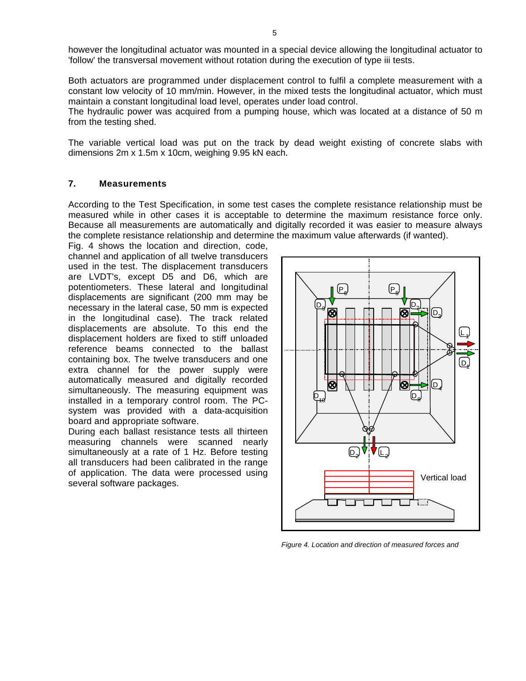however the longitudinal actuator was mounted in a special device allowing the longitudinal actuator to 'follow' the transversal movement without rotation during the execution of type iii tests.

Both actuators are programmed under displacement control to fulfil a complete measurement with a constant low velocity of 10 mm/min. However, in the mixed tests the longitudinal actuator, which must maintain a constant longitudinal load level, operates under load control.

The hydraulic power was acquired from a pumping house, which was located at a distance of 50 m from the testing shed.

The variable vertical load was put on the track by dead weight existing of concrete slabs with dimensions 2m x 1.5m x 10cm, weighing 9.95 kN each.

# **7. Measurements**

According to the Test Specification, in some test cases the complete resistance relationship must be measured while in other cases it is acceptable to determine the maximum resistance force only. Because all measurements are automatically and digitally recorded it was easier to measure always the complete resistance relationship and determine the maximum value afterwards (if wanted).

Fig. 4 shows the location and direction, code, channel and application of all twelve transducers used in the test. The displacement transducers are LVDT's, except D5 and D6, which are potentiometers. These lateral and longitudinal displacements are significant (200 mm may be necessary in the lateral case, 50 mm is expected in the longitudinal case). The track related displacements are absolute. To this end the displacement holders are fixed to stiff unloaded reference beams connected to the ballast containing box. The twelve transducers and one extra channel for the power supply were automatically measured and digitally recorded simultaneously. The measuring equipment was installed in a temporary control room. The PCsystem was provided with a data-acquisition board and appropriate software.

During each ballast resistance tests all thirteen measuring channels were scanned nearly simultaneously at a rate of 1 Hz. Before testing all transducers had been calibrated in the range of application. The data were processed using several software packages.



*Figure 4. Location and direction of measured forces and*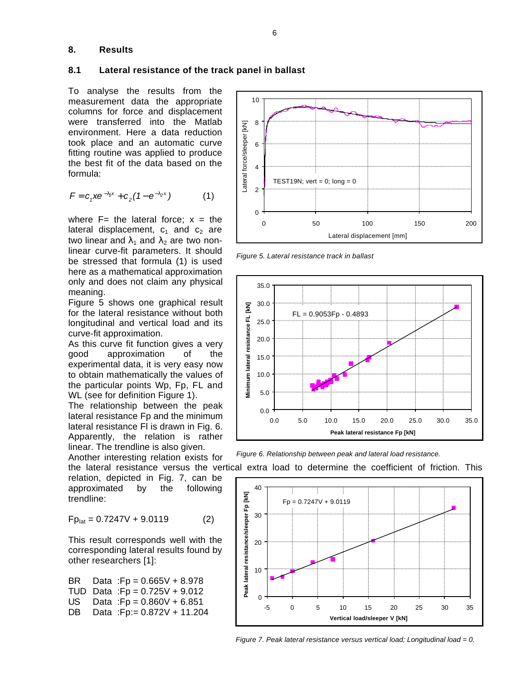### **8. Results**

#### **8.1 Lateral resistance of the track panel in ballast**

To analyse the results from the measurement data the appropriate columns for force and displacement were transferred into the Matlab environment. Here a data reduction took place and an automatic curve fitting routine was applied to produce the best fit of the data based on the formula:

$$
F = c_1 x e^{-l_1 x} + c_2 (1 - e^{-l_2 x})
$$
 (1)

where  $F=$  the lateral force;  $x =$  the lateral displacement,  $c_1$  and  $c_2$  are two linear and  $\lambda_1$  and  $\lambda_2$  are two nonlinear curve-fit parameters. It should be stressed that formula (1) is used here as a mathematical approximation only and does not claim any physical meaning.

Figure 5 shows one graphical result for the lateral resistance without both longitudinal and vertical load and its curve-fit approximation.

As this curve fit function gives a very good approximation of the experimental data, it is very easy now to obtain mathematically the values of the particular points Wp, Fp, FL and WL (see for definition Figure 1).

The relationship between the peak lateral resistance Fp and the minimum lateral resistance Fl is drawn in Fig. 6. Apparently, the relation is rather linear. The trendline is also given.

Another interesting relation exists for

relation, depicted in Fig. 7, can be approximated by the following trendline:

$$
Fp_{\text{lat}} = 0.7247V + 9.0119 \tag{2}
$$

This result corresponds well with the corresponding lateral results found by other researchers [1]:

BR Data :Fp = 0.665V + 8.978 TUD Data :Fp = 0.725V + 9.012 US Data :Fp = 0.860V + 6.851 DB Data :Fp:= 0.872V + 11.204



*Figure 5. Lateral resistance track in ballast*



*Figure 6. Relationship between peak and lateral load resistance.*

the lateral resistance versus the vertical extra load to determine the coefficient of friction. This



*Figure 7. Peak lateral resistance versus vertical load; Longitudinal load = 0.*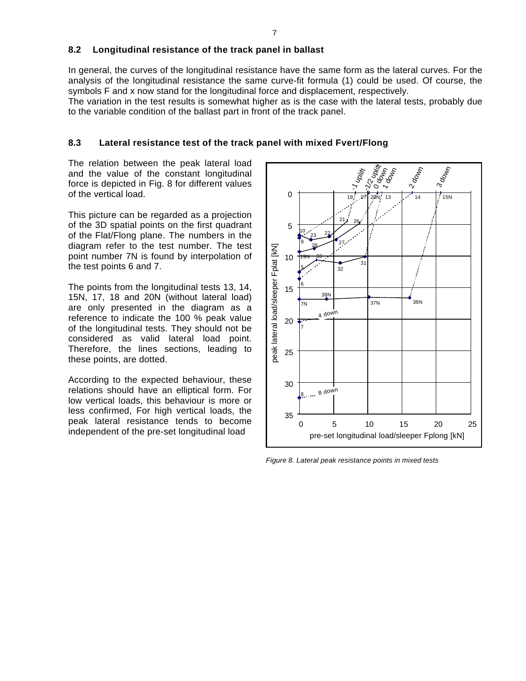## **8.2 Longitudinal resistance of the track panel in ballast**

In general, the curves of the longitudinal resistance have the same form as the lateral curves. For the analysis of the longitudinal resistance the same curve-fit formula (1) could be used. Of course, the symbols F and x now stand for the longitudinal force and displacement, respectively.

The variation in the test results is somewhat higher as is the case with the lateral tests, probably due to the variable condition of the ballast part in front of the track panel.

### **8.3 Lateral resistance test of the track panel with mixed Fvert/Flong**

The relation between the peak lateral load and the value of the constant longitudinal force is depicted in Fig. 8 for different values of the vertical load.

This picture can be regarded as a projection of the 3D spatial points on the first quadrant of the Flat/Flong plane. The numbers in the diagram refer to the test number. The test point number 7N is found by interpolation of the test points 6 and 7.

The points from the longitudinal tests 13, 14, 15N, 17, 18 and 20N (without lateral load) are only presented in the diagram as a reference to indicate the 100 % peak value of the longitudinal tests. They should not be considered as valid lateral load point. Therefore, the lines sections, leading to these points, are dotted.

According to the expected behaviour, these relations should have an elliptical form. For low vertical loads, this behaviour is more or less confirmed, For high vertical loads, the peak lateral resistance tends to become independent of the pre-set longitudinal load



*Figure 8. Lateral peak resistance points in mixed tests*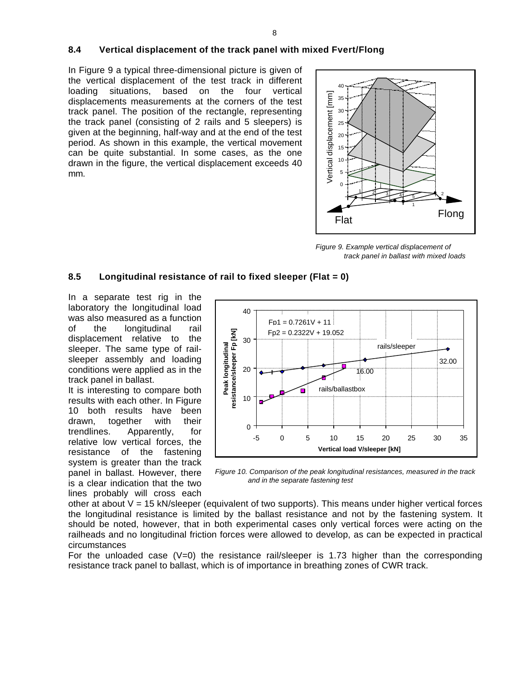# **8.4 Vertical displacement of the track panel with mixed Fvert/Flong**

In Figure 9 a typical three-dimensional picture is given of the vertical displacement of the test track in different loading situations, based on the four vertical displacements measurements at the corners of the test track panel. The position of the rectangle, representing the track panel (consisting of 2 rails and 5 sleepers) is given at the beginning, half-way and at the end of the test period. As shown in this example, the vertical movement can be quite substantial. In some cases, as the one drawn in the figure, the vertical displacement exceeds 40 mm.



*Figure 9. Example vertical displacement of track panel in ballast with mixed loads*

# **8.5 Longitudinal resistance of rail to fixed sleeper (Flat = 0)**

In a separate test rig in the laboratory the longitudinal load was also measured as a function of the longitudinal rail displacement relative to the sleeper. The same type of railsleeper assembly and loading conditions were applied as in the track panel in ballast.

It is interesting to compare both results with each other. In Figure 10 both results have been drawn, together with their trendlines. Apparently, for relative low vertical forces, the resistance of the fastening system is greater than the track panel in ballast. However, there is a clear indication that the two lines probably will cross each



*Figure 10. Comparison of the peak longitudinal resistances, measured in the track*

other at about  $V = 15$  kN/sleeper (equivalent of two supports). This means under higher vertical forces the longitudinal resistance is limited by the ballast resistance and not by the fastening system. It should be noted, however, that in both experimental cases only vertical forces were acting on the railheads and no longitudinal friction forces were allowed to develop, as can be expected in practical circumstances

For the unloaded case  $(V=0)$  the resistance rail/sleeper is 1.73 higher than the corresponding resistance track panel to ballast, which is of importance in breathing zones of CWR track.